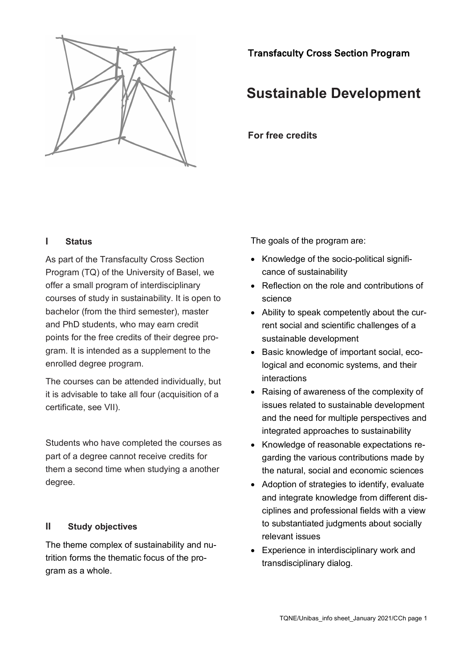

Transfaculty Cross Section Program

# **Sustainable Development**

**For free credits**

# **I Status**

As part of the Transfaculty Cross Section Program (TQ) of the University of Basel, we offer a small program of interdisciplinary courses of study in sustainability. It is open to bachelor (from the third semester), master and PhD students, who may earn credit points for the free credits of their degree program. It is intended as a supplement to the enrolled degree program.

The courses can be attended individually, but it is advisable to take all four (acquisition of a certificate, see VII).

Students who have completed the courses as part of a degree cannot receive credits for them a second time when studying a another degree.

# **II Study objectives**

The theme complex of sustainability and nutrition forms the thematic focus of the program as a whole.

The goals of the program are:

- Knowledge of the socio-political significance of sustainability
- Reflection on the role and contributions of science
- Ability to speak competently about the current social and scientific challenges of a sustainable development
- Basic knowledge of important social, ecological and economic systems, and their interactions
- Raising of awareness of the complexity of issues related to sustainable development and the need for multiple perspectives and integrated approaches to sustainability
- Knowledge of reasonable expectations regarding the various contributions made by the natural, social and economic sciences
- Adoption of strategies to identify, evaluate and integrate knowledge from different disciplines and professional fields with a view to substantiated judgments about socially relevant issues
- Experience in interdisciplinary work and transdisciplinary dialog.